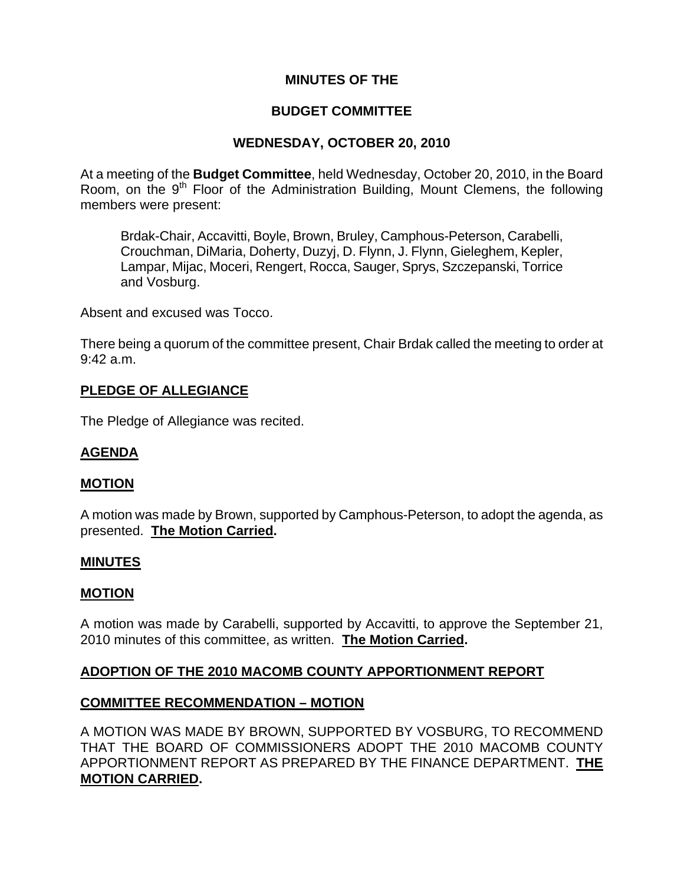# **MINUTES OF THE**

## **BUDGET COMMITTEE**

#### **WEDNESDAY, OCTOBER 20, 2010**

At a meeting of the **Budget Committee**, held Wednesday, October 20, 2010, in the Board Room, on the  $9<sup>th</sup>$  Floor of the Administration Building, Mount Clemens, the following members were present:

Brdak-Chair, Accavitti, Boyle, Brown, Bruley, Camphous-Peterson, Carabelli, Crouchman, DiMaria, Doherty, Duzyj, D. Flynn, J. Flynn, Gieleghem, Kepler, Lampar, Mijac, Moceri, Rengert, Rocca, Sauger, Sprys, Szczepanski, Torrice and Vosburg.

Absent and excused was Tocco.

There being a quorum of the committee present, Chair Brdak called the meeting to order at 9:42 a.m.

#### **PLEDGE OF ALLEGIANCE**

The Pledge of Allegiance was recited.

## **AGENDA**

## **MOTION**

A motion was made by Brown, supported by Camphous-Peterson, to adopt the agenda, as presented. **The Motion Carried.** 

#### **MINUTES**

#### **MOTION**

A motion was made by Carabelli, supported by Accavitti, to approve the September 21, 2010 minutes of this committee, as written. **The Motion Carried.** 

## **ADOPTION OF THE 2010 MACOMB COUNTY APPORTIONMENT REPORT**

#### **COMMITTEE RECOMMENDATION – MOTION**

A MOTION WAS MADE BY BROWN, SUPPORTED BY VOSBURG, TO RECOMMEND THAT THE BOARD OF COMMISSIONERS ADOPT THE 2010 MACOMB COUNTY APPORTIONMENT REPORT AS PREPARED BY THE FINANCE DEPARTMENT. **THE MOTION CARRIED.**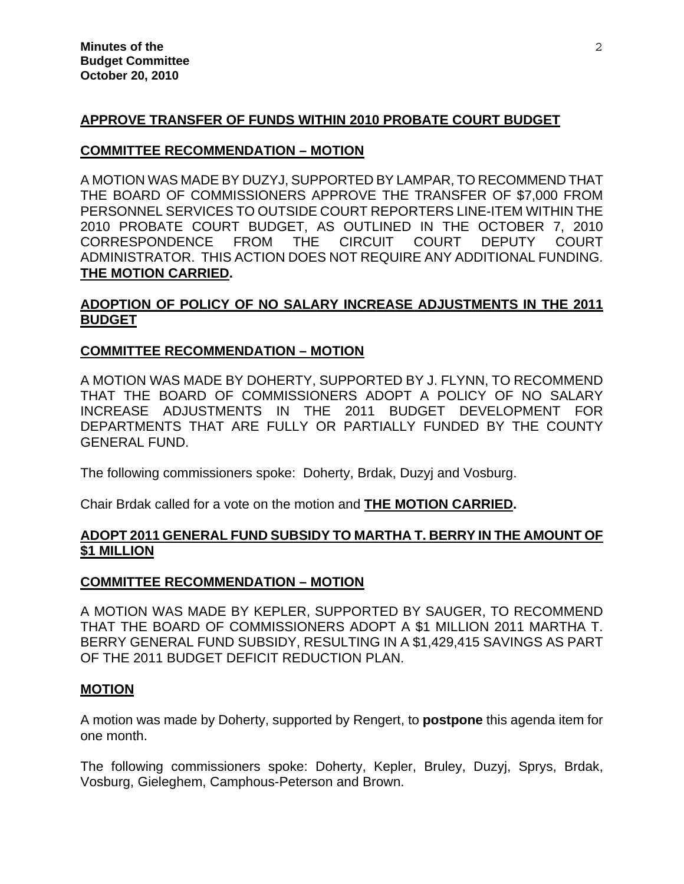## **APPROVE TRANSFER OF FUNDS WITHIN 2010 PROBATE COURT BUDGET**

#### **COMMITTEE RECOMMENDATION – MOTION**

A MOTION WAS MADE BY DUZYJ, SUPPORTED BY LAMPAR, TO RECOMMEND THAT THE BOARD OF COMMISSIONERS APPROVE THE TRANSFER OF \$7,000 FROM PERSONNEL SERVICES TO OUTSIDE COURT REPORTERS LINE-ITEM WITHIN THE 2010 PROBATE COURT BUDGET, AS OUTLINED IN THE OCTOBER 7, 2010 CORRESPONDENCE FROM THE CIRCUIT COURT DEPUTY COURT ADMINISTRATOR. THIS ACTION DOES NOT REQUIRE ANY ADDITIONAL FUNDING. **THE MOTION CARRIED.**

# **ADOPTION OF POLICY OF NO SALARY INCREASE ADJUSTMENTS IN THE 2011 BUDGET**

#### **COMMITTEE RECOMMENDATION – MOTION**

A MOTION WAS MADE BY DOHERTY, SUPPORTED BY J. FLYNN, TO RECOMMEND THAT THE BOARD OF COMMISSIONERS ADOPT A POLICY OF NO SALARY INCREASE ADJUSTMENTS IN THE 2011 BUDGET DEVELOPMENT FOR DEPARTMENTS THAT ARE FULLY OR PARTIALLY FUNDED BY THE COUNTY GENERAL FUND.

The following commissioners spoke: Doherty, Brdak, Duzyj and Vosburg.

Chair Brdak called for a vote on the motion and **THE MOTION CARRIED.** 

## **ADOPT 2011 GENERAL FUND SUBSIDY TO MARTHA T. BERRY IN THE AMOUNT OF \$1 MILLION**

#### **COMMITTEE RECOMMENDATION – MOTION**

A MOTION WAS MADE BY KEPLER, SUPPORTED BY SAUGER, TO RECOMMEND THAT THE BOARD OF COMMISSIONERS ADOPT A \$1 MILLION 2011 MARTHA T. BERRY GENERAL FUND SUBSIDY, RESULTING IN A \$1,429,415 SAVINGS AS PART OF THE 2011 BUDGET DEFICIT REDUCTION PLAN.

#### **MOTION**

A motion was made by Doherty, supported by Rengert, to **postpone** this agenda item for one month.

The following commissioners spoke: Doherty, Kepler, Bruley, Duzyj, Sprys, Brdak, Vosburg, Gieleghem, Camphous-Peterson and Brown.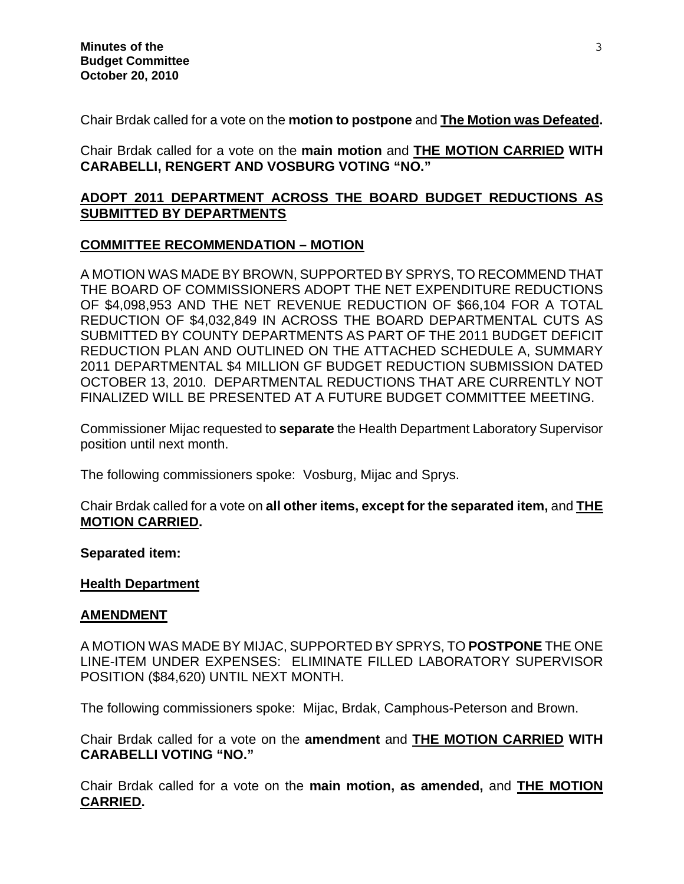Chair Brdak called for a vote on the **motion to postpone** and **The Motion was Defeated.** 

Chair Brdak called for a vote on the **main motion** and **THE MOTION CARRIED WITH CARABELLI, RENGERT AND VOSBURG VOTING "NO."**

# **ADOPT 2011 DEPARTMENT ACROSS THE BOARD BUDGET REDUCTIONS AS SUBMITTED BY DEPARTMENTS**

## **COMMITTEE RECOMMENDATION – MOTION**

A MOTION WAS MADE BY BROWN, SUPPORTED BY SPRYS, TO RECOMMEND THAT THE BOARD OF COMMISSIONERS ADOPT THE NET EXPENDITURE REDUCTIONS OF \$4,098,953 AND THE NET REVENUE REDUCTION OF \$66,104 FOR A TOTAL REDUCTION OF \$4,032,849 IN ACROSS THE BOARD DEPARTMENTAL CUTS AS SUBMITTED BY COUNTY DEPARTMENTS AS PART OF THE 2011 BUDGET DEFICIT REDUCTION PLAN AND OUTLINED ON THE ATTACHED SCHEDULE A, SUMMARY 2011 DEPARTMENTAL \$4 MILLION GF BUDGET REDUCTION SUBMISSION DATED OCTOBER 13, 2010. DEPARTMENTAL REDUCTIONS THAT ARE CURRENTLY NOT FINALIZED WILL BE PRESENTED AT A FUTURE BUDGET COMMITTEE MEETING.

Commissioner Mijac requested to **separate** the Health Department Laboratory Supervisor position until next month.

The following commissioners spoke: Vosburg, Mijac and Sprys.

Chair Brdak called for a vote on **all other items, except for the separated item,** and **THE MOTION CARRIED.**

**Separated item:** 

#### **Health Department**

#### **AMENDMENT**

A MOTION WAS MADE BY MIJAC, SUPPORTED BY SPRYS, TO **POSTPONE** THE ONE LINE-ITEM UNDER EXPENSES: ELIMINATE FILLED LABORATORY SUPERVISOR POSITION (\$84,620) UNTIL NEXT MONTH.

The following commissioners spoke: Mijac, Brdak, Camphous-Peterson and Brown.

Chair Brdak called for a vote on the **amendment** and **THE MOTION CARRIED WITH CARABELLI VOTING "NO."** 

Chair Brdak called for a vote on the **main motion, as amended,** and **THE MOTION CARRIED.**